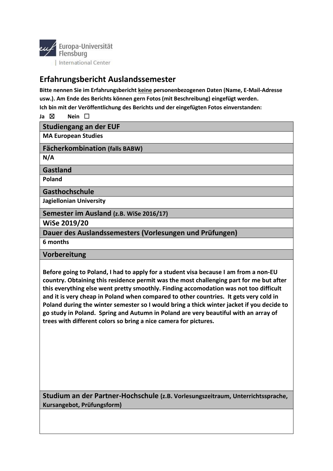

## **Erfahrungsbericht Auslandssemester**

**Bitte nennen Sie im Erfahrungsbericht keine personenbezogenen Daten (Name, E-Mail-Adresse usw.). Am Ende des Berichts können gern Fotos (mit Beschreibung) eingefügt werden. Ich bin mit der Veröffentlichung des Berichts und der eingefügten Fotos einverstanden:** 

**Ja** ☒ **Nein** ☐

**Studiengang an der EUF**

**MA European Studies** 

**Fächerkombination (falls BABW)**

**N/A** 

**Gastland**

**Poland** 

**Gasthochschule**

**Jagiellonian University** 

**Semester im Ausland (z.B. WiSe 2016/17)**

**WiSe 2019/20**

**Dauer des Auslandssemesters (Vorlesungen und Prüfungen)**

**6 months** 

**Vorbereitung**

**Before going to Poland, I had to apply for a student visa because I am from a non-EU country. Obtaining this residence permit was the most challenging part for me but after this everything else went pretty smoothly. Finding accomodation was not too difficult and it is very cheap in Poland when compared to other countries. It gets very cold in Poland during the winter semester so I would bring a thick winter jacket if you decide to go study in Poland. Spring and Autumn in Poland are very beautiful with an array of trees with different colors so bring a nice camera for pictures.** 

**Studium an der Partner-Hochschule (z.B. Vorlesungszeitraum, Unterrichtssprache, Kursangebot, Prüfungsform)**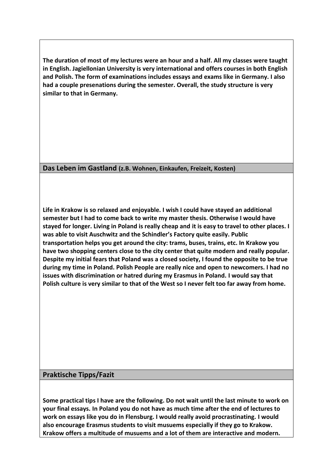**The duration of most of my lectures were an hour and a half. All my classes were taught in English. Jagiellonian University is very international and offers courses in both English and Polish. The form of examinations includes essays and exams like in Germany. I also had a couple presenations during the semester. Overall, the study structure is very similar to that in Germany.** 

**Das Leben im Gastland (z.B. Wohnen, Einkaufen, Freizeit, Kosten)**

**Life in Krakow is so relaxed and enjoyable. I wish I could have stayed an additional semester but I had to come back to write my master thesis. Otherwise I would have stayed for longer. Living in Poland is really cheap and it is easy to travel to other places. I was able to visit Auschwitz and the Schindler's Factory quite easily. Public transportation helps you get around the city: trams, buses, trains, etc. In Krakow you have two shopping centers close to the city center that quite modern and really popular. Despite my initial fears that Poland was a closed society, I found the opposite to be true during my time in Poland. Polish People are really nice and open to newcomers. I had no issues with discrimination or hatred during my Erasmus in Poland. I would say that Polish culture is very similar to that of the West so I never felt too far away from home.** 

## **Praktische Tipps/Fazit**

**Some practical tips I have are the following. Do not wait until the last minute to work on your final essays. In Poland you do not have as much time after the end of lectures to work on essays like you do in Flensburg. I would really avoid procrastinating. I would also encourage Erasmus students to visit musuems especially if they go to Krakow. Krakow offers a multitude of musuems and a lot of them are interactive and modern.**